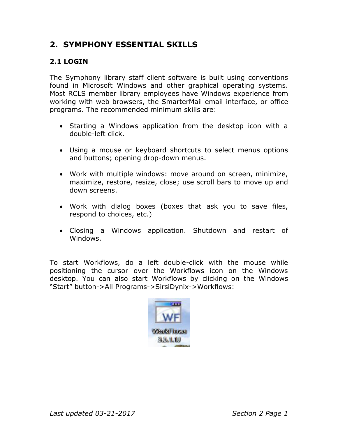# **2. SYMPHONY ESSENTIAL SKILLS**

# **2.1 LOGIN**

The Symphony library staff client software is built using conventions found in Microsoft Windows and other graphical operating systems. Most RCLS member library employees have Windows experience from working with web browsers, the SmarterMail email interface, or office programs. The recommended minimum skills are:

- Starting a Windows application from the desktop icon with a double-left click.
- Using a mouse or keyboard shortcuts to select menus options and buttons; opening drop-down menus.
- Work with multiple windows: move around on screen, minimize, maximize, restore, resize, close; use scroll bars to move up and down screens.
- Work with dialog boxes (boxes that ask you to save files, respond to choices, etc.)
- Closing a Windows application. Shutdown and restart of Windows.

To start Workflows, do a left double-click with the mouse while positioning the cursor over the Workflows icon on the Windows desktop. You can also start Workflows by clicking on the Windows "Start" button->All Programs->SirsiDynix->Workflows:

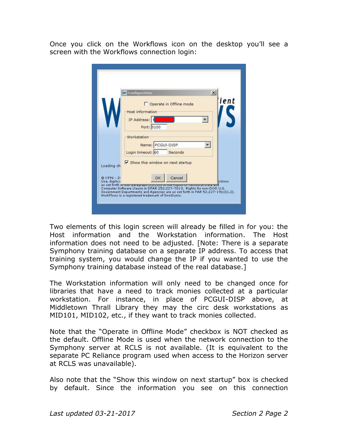Once you click on the Workflows icon on the desktop you'll see a screen with the Workflows connection login:

|                         | <b>WE</b> Configuration                                                         | $\boldsymbol{\mathsf{x}}$ |
|-------------------------|---------------------------------------------------------------------------------|---------------------------|
|                         | Operate in Offline mode                                                         | ient                      |
|                         |                                                                                 |                           |
|                         | Host information                                                                |                           |
|                         | IP Address:                                                                     |                           |
|                         | Port: 5100                                                                      |                           |
|                         | Workstation                                                                     |                           |
|                         |                                                                                 |                           |
|                         | Name: PCGUI-DISP                                                                |                           |
|                         | Seconds<br>Login timeout: 60                                                    |                           |
|                         | $\overline{\mathsf{v}}$ Show this window on next startup                        |                           |
| Loading ch              |                                                                                 |                           |
|                         |                                                                                 |                           |
| @1996-2<br>Use, duplica | Cancel<br>OK                                                                    | lictions                  |
|                         | as set forth misuul paragraph (c)(1)(n) or the icignos in inecrimical placa and |                           |

Two elements of this login screen will already be filled in for you: the Host information and the Workstation information. The Host information does not need to be adjusted. [Note: There is a separate Symphony training database on a separate IP address. To access that training system, you would change the IP if you wanted to use the Symphony training database instead of the real database.]

The Workstation information will only need to be changed once for libraries that have a need to track monies collected at a particular workstation. For instance, in place of PCGUI-DISP above, at Middletown Thrall Library they may the circ desk workstations as MID101, MID102, etc., if they want to track monies collected.

Note that the "Operate in Offline Mode" checkbox is NOT checked as the default. Offline Mode is used when the network connection to the Symphony server at RCLS is not available. (It is equivalent to the separate PC Reliance program used when access to the Horizon server at RCLS was unavailable).

Also note that the "Show this window on next startup" box is checked by default. Since the information you see on this connection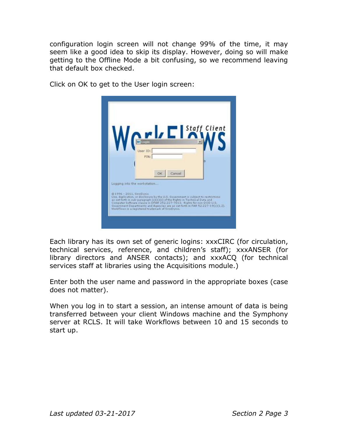configuration login screen will not change 99% of the time, it may seem like a good idea to skip its display. However, doing so will make getting to the Offline Mode a bit confusing, so we recommend leaving that default box checked.



Click on OK to get to the User login screen:

Each library has its own set of generic logins: xxxCIRC (for circulation, technical services, reference, and children's staff); xxxANSER (for library directors and ANSER contacts); and xxxACQ (for technical services staff at libraries using the Acquisitions module.)

Enter both the user name and password in the appropriate boxes (case does not matter).

When you log in to start a session, an intense amount of data is being transferred between your client Windows machine and the Symphony server at RCLS. It will take Workflows between 10 and 15 seconds to start up.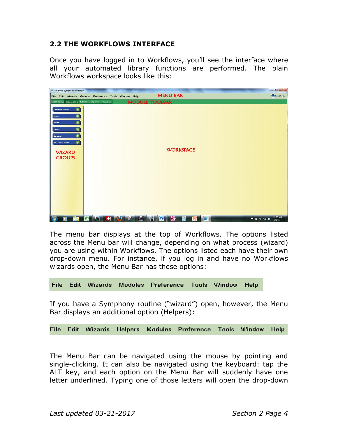## **2.2 THE WORKFLOWS INTERFACE**

Once you have logged in to Workflows, you'll see the interface where all your automated library functions are performed. The plain Workflows workspace looks like this:



The menu bar displays at the top of Workflows. The options listed across the Menu bar will change, depending on what process (wizard) you are using within Workflows. The options listed each have their own drop-down menu. For instance, if you log in and have no Workflows wizards open, the Menu Bar has these options:

File Edit Wizards Modules Preference Tools Window Help

If you have a Symphony routine ("wizard") open, however, the Menu Bar displays an additional option (Helpers):

|  |  |  |  |  | File Edit Wizards Helpers Modules Preference Tools Window Help |  |  |  |
|--|--|--|--|--|----------------------------------------------------------------|--|--|--|
|--|--|--|--|--|----------------------------------------------------------------|--|--|--|

The Menu Bar can be navigated using the mouse by pointing and single-clicking. It can also be navigated using the keyboard: tap the ALT key, and each option on the Menu Bar will suddenly have one letter underlined. Typing one of those letters will open the drop-down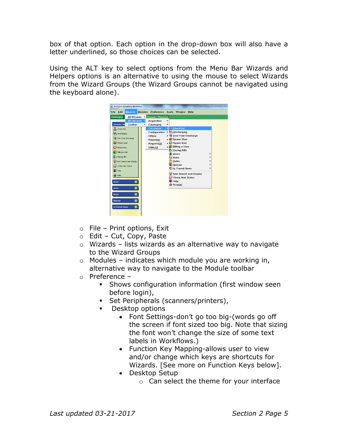box of that option. Each option in the drop-down box will also have a letter underlined, so those choices can be selected.

Using the ALT key to select options from the Menu Bar Wizards and Helpers options is an alternative to using the mouse to select Wizards from the Wizard Groups (the Wizard Groups cannot be navigated using the keyboard alone).

|              |                         | <b>WF SirsiDynix Symphony WorkFlows</b> |   |                                 |   |                                       |      |  |
|--------------|-------------------------|-----------------------------------------|---|---------------------------------|---|---------------------------------------|------|--|
| File         | Edit                    | <b>Wizards</b>                          |   | Modules Preference Tools Window |   |                                       | Help |  |
|              | Cataloging              | All Wizards                             |   | Reports Requests                |   |                                       |      |  |
|              |                         | <b>My Wizards</b>                       |   | Acguisition                     | ١ |                                       |      |  |
|              | <b>Common Tas</b>       | Toolbar                                 | ٠ | Cataloging                      | ١ |                                       |      |  |
|              | CheckOut                |                                         |   | <b>Circulation</b>              |   | CheckOut                              |      |  |
|              | Discharging             |                                         |   | Configuration                   |   | Discharging                           |      |  |
|              |                         | <b>US</b> Fine Free Discharge           |   | Offline                         |   | <b>W</b> Fine Free Discharge          |      |  |
|              |                         |                                         |   | Report(b)                       |   | <b>B</b> Renew User                   |      |  |
|              | <b>O</b> Renew User     |                                         |   | Request(d)                      |   | <b>Col</b> Renew Item                 |      |  |
|              | <b>QD</b> Renew Item    |                                         |   | Utility(j)                      |   | <b>Billing</b> a User<br>Paying Bills |      |  |
|              | Biling a User           |                                         |   |                                 |   | <b>Pi</b> Users                       |      |  |
|              | Paying Bils             |                                         |   |                                 |   | <b>Q</b> Items                        |      |  |
|              |                         | tem Search and Display                  |   |                                 |   | <b>A</b> Holds                        |      |  |
|              |                         |                                         |   |                                 |   | Special                               |      |  |
|              | Check Item Status       |                                         |   |                                 |   | In-Transit Items                      |      |  |
|              | Help                    |                                         |   |                                 |   |                                       |      |  |
|              | <b>⊜</b> Print          |                                         |   |                                 |   | Item Search and Display               |      |  |
|              |                         |                                         |   |                                 |   | Check Item Status                     |      |  |
| <b>Users</b> |                         | ø                                       |   |                                 |   | ? Help                                |      |  |
| <b>Items</b> |                         | ۵                                       |   |                                 |   | <b>△</b> Print(A)                     |      |  |
|              |                         |                                         |   |                                 |   |                                       |      |  |
| <b>Holds</b> |                         | ۵                                       |   |                                 |   |                                       |      |  |
|              | Special                 | ۵                                       |   |                                 |   |                                       |      |  |
|              | <b>In-Transit Items</b> | ◉                                       |   |                                 |   |                                       |      |  |
|              |                         |                                         |   |                                 |   |                                       |      |  |

- o File Print options, Exit
- o Edit Cut, Copy, Paste
- $\circ$  Wizards lists wizards as an alternative way to navigate to the Wizard Groups
- $\circ$  Modules indicates which module you are working in, alternative way to navigate to the Module toolbar
- o Preference
	- **•** Shows configuration information (first window seen before login),
	- Set Peripherals (scanners/printers),
	- Desktop options
		- Font Settings-don't go too big-(words go off the screen if font sized too big. Note that sizing the font won't change the size of some text labels in Workflows.)
		- Function Key Mapping-allows user to view and/or change which keys are shortcuts for Wizards. [See more on Function Keys below].
		- Desktop Setup
			- o Can select the theme for your interface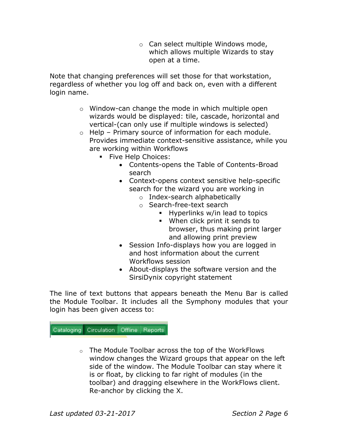o Can select multiple Windows mode, which allows multiple Wizards to stay open at a time.

Note that changing preferences will set those for that workstation, regardless of whether you log off and back on, even with a different login name.

- o Window-can change the mode in which multiple open wizards would be displayed: tile, cascade, horizontal and vertical-(can only use if multiple windows is selected)
- o Help Primary source of information for each module. Provides immediate context-sensitive assistance, while you are working within Workflows
	- **·** Five Help Choices:
		- Contents-opens the Table of Contents-Broad search
		- Context-opens context sensitive help-specific search for the wizard you are working in
			- o Index-search alphabetically
			- o Search-free-text search
				- Hyperlinks w/in lead to topics
				- When click print it sends to browser, thus making print larger and allowing print preview
		- Session Info-displays how you are logged in and host information about the current Workflows session
		- About-displays the software version and the SirsiDynix copyright statement

The line of text buttons that appears beneath the Menu Bar is called the Module Toolbar. It includes all the Symphony modules that your login has been given access to:

Cataloging Circulation Offline Reports

 $\circ$  The Module Toolbar across the top of the WorkFlows window changes the Wizard groups that appear on the left side of the window. The Module Toolbar can stay where it is or float, by clicking to far right of modules (in the toolbar) and dragging elsewhere in the WorkFlows client. Re-anchor by clicking the X.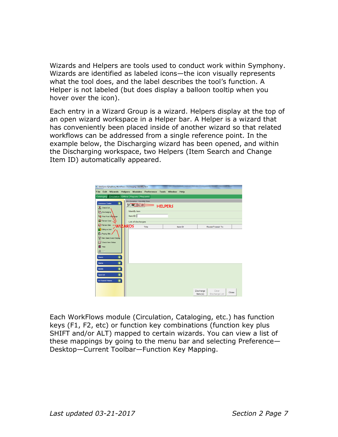Wizards and Helpers are tools used to conduct work within Symphony. Wizards are identified as labeled icons—the icon visually represents what the tool does, and the label describes the tool's function. A Helper is not labeled (but does display a balloon tooltip when you hover over the icon).

Each entry in a Wizard Group is a wizard. Helpers display at the top of an open wizard workspace in a Helper bar. A Helper is a wizard that has conveniently been placed inside of another wizard so that related workflows can be addressed from a single reference point. In the example below, the Discharging wizard has been opened, and within the Discharging workspace, two Helpers (Item Search and Change Item ID) automatically appeared.



Each WorkFlows module (Circulation, Cataloging, etc.) has function keys (F1, F2, etc) or function key combinations (function key plus SHIFT and/or ALT) mapped to certain wizards. You can view a list of these mappings by going to the menu bar and selecting Preference— Desktop—Current Toolbar—Function Key Mapping.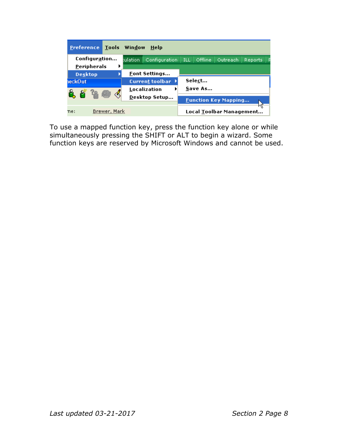| <b>Tools</b><br><b>Preference</b>   | Window<br><b>Help</b>  |                                                       |
|-------------------------------------|------------------------|-------------------------------------------------------|
| Configuration<br><b>Peripherals</b> | bulation               | Configuration   ILL   Offline   Outreach  <br>Reports |
| <b>Desktop</b>                      | <b>Font Settings</b>   |                                                       |
| ieckOut                             | <b>Current toolbar</b> | Select                                                |
|                                     | Localization           | Save As                                               |
|                                     | Desktop Setup          | <b>Eunction Key Mapping</b>                           |
| Brewer, Mark<br>ne:                 |                        | Local Toolbar Management                              |

To use a mapped function key, press the function key alone or while simultaneously pressing the SHIFT or ALT to begin a wizard. Some function keys are reserved by Microsoft Windows and cannot be used.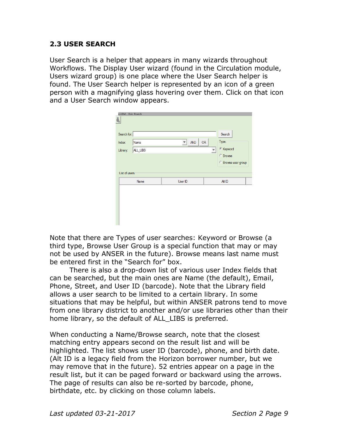## **2.3 USER SEARCH**

User Search is a helper that appears in many wizards throughout Workflows. The Display User wizard (found in the Circulation module, Users wizard group) is one place where the User Search helper is found. The User Search helper is represented by an icon of a green person with a magnifying glass hovering over them. Click on that icon and a User Search window appears.

| eckOut: User Search |          |            |           |                                                   |  |
|---------------------|----------|------------|-----------|---------------------------------------------------|--|
| Search for:         |          |            |           | Search                                            |  |
| Index:              | Name     | <b>AND</b> | <b>OR</b> | Type:                                             |  |
| Library:            | ALL_LIBS |            |           | © Keyword                                         |  |
| List of users       |          |            |           | <b>C</b> Browse<br><sup>C</sup> Browse user group |  |
|                     | Name     | User ID    |           | Alt ID                                            |  |
|                     |          |            |           |                                                   |  |

Note that there are Types of user searches: Keyword or Browse (a third type, Browse User Group is a special function that may or may not be used by ANSER in the future). Browse means last name must be entered first in the "Search for" box.

There is also a drop-down list of various user Index fields that can be searched, but the main ones are Name (the default), Email, Phone, Street, and User ID (barcode). Note that the Library field allows a user search to be limited to a certain library. In some situations that may be helpful, but within ANSER patrons tend to move from one library district to another and/or use libraries other than their home library, so the default of ALL\_LIBS is preferred.

When conducting a Name/Browse search, note that the closest matching entry appears second on the result list and will be highlighted. The list shows user ID (barcode), phone, and birth date. (Alt ID is a legacy field from the Horizon borrower number, but we may remove that in the future). 52 entries appear on a page in the result list, but it can be paged forward or backward using the arrows. The page of results can also be re-sorted by barcode, phone, birthdate, etc. by clicking on those column labels.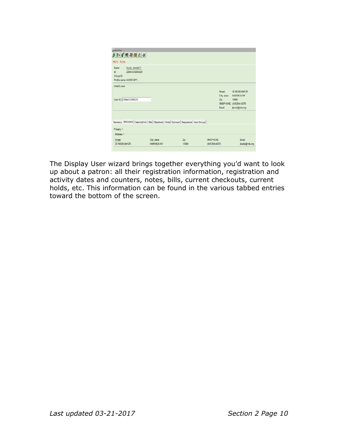| play User<br><b>ADARABA</b>                                                                |                                                                                       |              |                                                                                                                                                                                                                                                                     |                                                                                           |
|--------------------------------------------------------------------------------------------|---------------------------------------------------------------------------------------|--------------|---------------------------------------------------------------------------------------------------------------------------------------------------------------------------------------------------------------------------------------------------------------------|-------------------------------------------------------------------------------------------|
| Alerts Notes                                                                               |                                                                                       |              |                                                                                                                                                                                                                                                                     |                                                                                           |
| Kuntz, Jerrold P.<br>Name:<br>Id:<br>22844000293220<br>Group ID:<br>Profile name: WARSTAFF |                                                                                       |              |                                                                                                                                                                                                                                                                     |                                                                                           |
| Identify user                                                                              |                                                                                       |              |                                                                                                                                                                                                                                                                     |                                                                                           |
| User ID: 22844000293220                                                                    |                                                                                       |              | Street:<br>City, state:<br>Zip: The State of the State of the State of the State of the State of the State of the State of the State of the State of the State of the State of the State of the State of the State of the State of the State of the State<br>Email: | 30 WICKHAM DR<br><b>WARWICK NY</b><br>10990<br>SMSPHONE: (845)544-6979<br>jkuntz@rcls.org |
|                                                                                            |                                                                                       |              |                                                                                                                                                                                                                                                                     |                                                                                           |
|                                                                                            | Summary Addresses Extended Info Bills Checkouts Holds Outreach Suspension User Groups |              |                                                                                                                                                                                                                                                                     |                                                                                           |
| Primary: 1                                                                                 |                                                                                       |              |                                                                                                                                                                                                                                                                     |                                                                                           |
| -Address 1                                                                                 |                                                                                       |              |                                                                                                                                                                                                                                                                     |                                                                                           |
| <b>Street</b><br>30 WICKHAM DR                                                             | City, state<br><b>WARWICK NY</b>                                                      | Zip<br>10990 | <b>SMSPHONE</b><br>(845)544-6979                                                                                                                                                                                                                                    | Email<br>jkuntz@rcls.org                                                                  |

The Display User wizard brings together everything you'd want to look up about a patron: all their registration information, registration and activity dates and counters, notes, bills, current checkouts, current holds, etc. This information can be found in the various tabbed entries toward the bottom of the screen.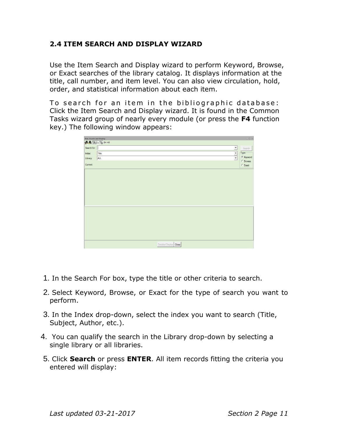# **2.4 ITEM SEARCH AND DISPLAY WIZARD**

Use the Item Search and Display wizard to perform Keyword, Browse, or Exact searches of the library catalog. It displays information at the title, call number, and item level. You can also view circulation, hold, order, and statistical information about each item.

To search for an item in the bibliographic database: Click the Item Search and Display wizard. It is found in the Common Tasks wizard group of nearly every module (or press the **F4** function key.) The following window appears:

|             | $\omega \cdot \mathbb{Q} \cdot \infty$<br><b>Item Search and Display</b>                                                                                        |                         |  |  |  |
|-------------|-----------------------------------------------------------------------------------------------------------------------------------------------------------------|-------------------------|--|--|--|
|             | $ABFAF +$                                                                                                                                                       |                         |  |  |  |
| Search for: | $\overline{ }$                                                                                                                                                  | Search                  |  |  |  |
| Index:      | $\begin{array}{c c c c} \hline \textbf{1} & \textbf{1} & \textbf{1} \\ \hline \textbf{2} & \textbf{1} & \textbf{1} & \textbf{1} \\ \hline \end{array}$<br>Title | $\Gamma$ Type:          |  |  |  |
| Library:    | <b>ALL</b>                                                                                                                                                      | <sup>6</sup> Keyword    |  |  |  |
| Current:    |                                                                                                                                                                 | $C$ Browse<br>$C$ Exact |  |  |  |
|             |                                                                                                                                                                 |                         |  |  |  |
|             |                                                                                                                                                                 |                         |  |  |  |
|             |                                                                                                                                                                 |                         |  |  |  |
|             |                                                                                                                                                                 |                         |  |  |  |
|             |                                                                                                                                                                 |                         |  |  |  |
|             |                                                                                                                                                                 |                         |  |  |  |
|             |                                                                                                                                                                 |                         |  |  |  |
|             |                                                                                                                                                                 |                         |  |  |  |
|             |                                                                                                                                                                 |                         |  |  |  |
|             |                                                                                                                                                                 |                         |  |  |  |
|             |                                                                                                                                                                 |                         |  |  |  |
|             |                                                                                                                                                                 |                         |  |  |  |
|             |                                                                                                                                                                 |                         |  |  |  |
|             |                                                                                                                                                                 |                         |  |  |  |
|             |                                                                                                                                                                 |                         |  |  |  |
|             | Detailed Display   Close                                                                                                                                        |                         |  |  |  |

- 1. In the Search For box, type the title or other criteria to search.
- 2. Select Keyword, Browse, or Exact for the type of search you want to perform.
- 3. In the Index drop-down, select the index you want to search (Title, Subject, Author, etc.).
- 4. You can qualify the search in the Library drop-down by selecting a single library or all libraries.
- 5. Click **Search** or press **ENTER**. All item records fitting the criteria you entered will display: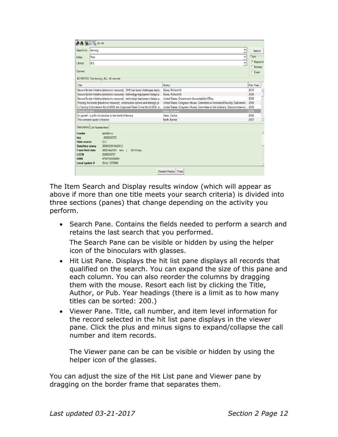| <b>热热隔分隔←→</b>          |                                                                                                                                                                 |                            |
|-------------------------|-----------------------------------------------------------------------------------------------------------------------------------------------------------------|----------------------------|
| Search for:   fencing   |                                                                                                                                                                 | Search                     |
| Index:                  | $\overline{\mathbf{v}}$<br>Title                                                                                                                                | Type:                      |
| Library:                | $\overline{\mathbf{v}}$<br><b>ALL</b>                                                                                                                           | € Keyword                  |
| Current:                |                                                                                                                                                                 | <b>C</b> Browse<br>C Exact |
|                         |                                                                                                                                                                 |                            |
|                         | KEYWORD Title fencing, ALL: 40 records                                                                                                                          |                            |
| Title                   | Author                                                                                                                                                          | Pub. Year                  |
|                         | Secure Border Initiative felectronic resource] : DHS has faced challenges deplo Stana, Richard M.                                                               | 2010                       |
|                         | Secure Border Initiative [electronic resource] : technology deployment delays p Stana, Richard M.                                                               | 2009                       |
|                         | Secure Border Initiative [electronic resource] : technology deployment delays p United States. Government Accountability Office.                                | 2009                       |
|                         | Fencing the border [electronic resource] : construction options and strategic pl United States. Congress. House. Committee on Homeland Security. Subcommit 2009 |                            |
|                         | E-Fencing Enforcement Act of 2008, the Organized Retail Crime Act of 2008, a United States. Congress. House. Committee on the Judiciary. Subcommittee on        | 2009                       |
| Fencing for fun!        | Slade, Suzanne.                                                                                                                                                 | 2009                       |
|                         | En garde! : a girl's introduction to the world of fencing<br>Velez, Carlos.                                                                                     | 2008                       |
|                         | The complete guide to fencing<br>Barth, Berndt,                                                                                                                 | Ľ<br>2007                  |
|                         | Description   Call Number/Item                                                                                                                                  |                            |
| Leader                  | am8a0n a                                                                                                                                                        |                            |
| key                     | 2008005737                                                                                                                                                      |                            |
| Data source             | <b>DLC</b>                                                                                                                                                      |                            |
| Date/time stamp         | 20081216154200.0                                                                                                                                                |                            |
| <b>Fixed field data</b> | 080214s2009 mnu j<br>001 0 eng                                                                                                                                  |                            |
| <b>LCCN</b>             | 2008005737                                                                                                                                                      |                            |
| <b>ISBN</b>             | 9780756538668                                                                                                                                                   |                            |
| Local system #          | (Sirsi) 1575896                                                                                                                                                 |                            |
|                         | Detailed Display<br>Close                                                                                                                                       |                            |
|                         |                                                                                                                                                                 |                            |

The Item Search and Display results window (which will appear as above if more than one title meets your search criteria) is divided into three sections (panes) that change depending on the activity you perform.

• Search Pane. Contains the fields needed to perform a search and retains the last search that you performed.

The Search Pane can be visible or hidden by using the helper icon of the binoculars with glasses.

- Hit List Pane. Displays the hit list pane displays all records that qualified on the search. You can expand the size of this pane and each column. You can also reorder the columns by dragging them with the mouse. Resort each list by clicking the Title, Author, or Pub. Year headings (there is a limit as to how many titles can be sorted: 200.)
- Viewer Pane. Title, call number, and item level information for the record selected in the hit list pane displays in the viewer pane. Click the plus and minus signs to expand/collapse the call number and item records.

The Viewer pane can be can be visible or hidden by using the helper icon of the glasses.

You can adjust the size of the Hit List pane and Viewer pane by dragging on the border frame that separates them.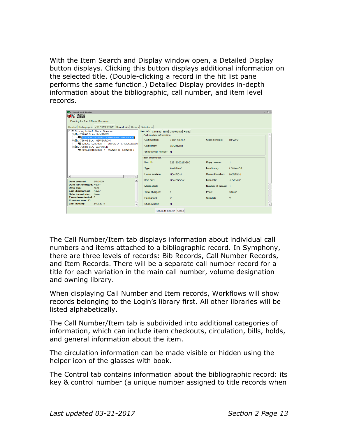With the Item Search and Display window open, a Detailed Display button displays. Clicking this button displays additional information on the selected title. (Double-clicking a record in the hit list pane performs the same function.) Detailed Display provides in-depth information about the bibliographic, call number, and item level records.

| om Search and Display                                                         |                                                   |                  |                          |                 | $-2$ |
|-------------------------------------------------------------------------------|---------------------------------------------------|------------------|--------------------------|-----------------|------|
| $W$ $\mathbb{C}$ is is                                                        |                                                   |                  |                          |                 |      |
| Fencing for fun! / Slade, Suzanne.                                            |                                                   |                  |                          |                 |      |
| Control Bibliographic Call Number/Item   Bound-with   Orders   Selections     |                                                   |                  |                          |                 |      |
| □ 图 Fencing for fun! - Slade, Suzanne.                                        | Item Info   Circ Info   Bills   Checkouts   Holds |                  |                          |                 |      |
| <b>B</b> LU 796.86 SLA - LIVMANOR<br>82819000263280 - 1 - MAINBK-O - NONFIC-J | Call number information                           |                  |                          |                 |      |
| <b>B July</b> J 796.86 SLA - NEWBURGH                                         | Call number:                                      | J 796 86 SLA     | Class scheme:            | <b>DEWEY</b>    |      |
| 82826010217065 - 1 - JUVBK-O - CHECKEDOUT<br>白 <b>曲J796.86 SLA - WARWICK</b>  | Call library:                                     | <b>I IVMANOR</b> |                          |                 |      |
| W 32844001367328 - 1 - MAINBK-O - NONFIC-J                                    | Shadow call number N                              |                  |                          |                 |      |
|                                                                               | <b>Item information</b>                           |                  |                          |                 |      |
|                                                                               | Item ID:                                          | 32819000263280   | Copy number:             | $\mathbf{1}$    |      |
|                                                                               | Type:                                             | MAINRK-O         | Item library:            | <b>LIVMANOR</b> |      |
| $\overline{ }$<br>$\blacktriangleleft$                                        | Home location:                                    | NONFIC-J         | <b>Current location:</b> | NONFIC-J        |      |
| $\blacktriangle$<br>8/7/2009<br>Date created:                                 | Item cat1:                                        | <b>NONEBOOK</b>  | Item cat2:               | <b>JUVENILE</b> |      |
| Date last charged: Never<br>Date due:<br>none                                 | Media desk:                                       |                  | Number of pieces: 1      |                 |      |
| <b>Last discharged:</b><br>Never<br>Date inventoried: Never                   | Total charges:                                    | $\Omega$         | Price:                   | \$16.00         |      |
| Times inventoried: 0<br>Previous user ID:                                     | Permanent                                         | Y                | Circulate                | Y               |      |
| 2/12/2011<br><b>Last activity:</b>                                            | Shadow item                                       | N                |                          |                 |      |
| Return to Search   Close                                                      |                                                   |                  |                          |                 |      |

The Call Number/Item tab displays information about individual call numbers and items attached to a bibliographic record. In Symphony, there are three levels of records: Bib Records, Call Number Records, and Item Records. There will be a separate call number record for a title for each variation in the main call number, volume designation and owning library.

When displaying Call Number and Item records, Workflows will show records belonging to the Login's library first. All other libraries will be listed alphabetically.

The Call Number/Item tab is subdivided into additional categories of information, which can include item checkouts, circulation, bills, holds, and general information about the item.

The circulation information can be made visible or hidden using the helper icon of the glasses with book.

The Control tab contains information about the bibliographic record: its key & control number (a unique number assigned to title records when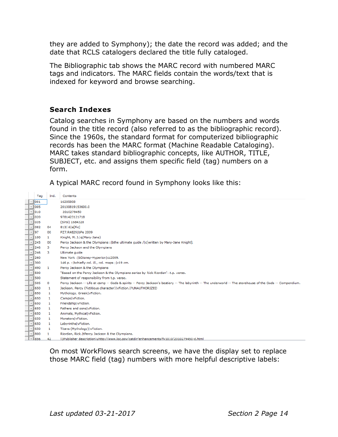they are added to Symphony); the date the record was added; and the date that RCLS catalogers declared the title fully cataloged.

The Bibliographic tab shows the MARC record with numbered MARC tags and indicators. The MARC fields contain the words/text that is indexed for keyword and browse searching.

# **Search Indexes**

Catalog searches in Symphony are based on the numbers and words found in the title record (also referred to as the bibliographic record). Since the 1960s, the standard format for computerized bibliographic records has been the MARC format (Machine Readable Cataloging). MARC takes standard bibliographic concepts, like AUTHOR, TITLE, SUBJECT, etc. and assigns them specific field (tag) numbers on a form.

A typical MARC record found in Symphony looks like this:

|                                 | Tag | Ind.         | Contents                                                                                                                                                    |
|---------------------------------|-----|--------------|-------------------------------------------------------------------------------------------------------------------------------------------------------------|
| $-$   001                       |     |              | 16285808                                                                                                                                                    |
| $-1005$                         |     |              | 20100819153600.0                                                                                                                                            |
| $-1010$                         |     |              | 2010279450                                                                                                                                                  |
| $-1020$                         |     |              | 9781423121718                                                                                                                                               |
| $-1035$                         |     |              | (Sirsi) 1684328                                                                                                                                             |
| $-1082$                         |     | 04           | 813/.6 a [Fic]                                                                                                                                              |
| $-197$                          |     | 00           | PZ7.R4829 bPe 2009                                                                                                                                          |
| $-100$                          |     | 1.           | Knight, M. J.   g(Mary-Jane)                                                                                                                                |
| $-1245$                         |     | 00           | Percy Jackson & the Olympians : bthe ultimate guide / c[written by Mary-Jane Knight].                                                                       |
| $- 246$                         |     | з            | Percy Jackson and the Olympians                                                                                                                             |
| $-1246$                         |     | з            | Ultimate guide                                                                                                                                              |
| $- 260$                         |     |              | New York: (bDisney-Hyperion cc2009.                                                                                                                         |
| $-1300$                         |     |              | 146 p. : bchiefly col. ill., col. maps ; c19 cm.                                                                                                            |
| $-1490$                         |     | 1            | Percy Jackson & the Olympians                                                                                                                               |
| 500<br>$\overline{\phantom{a}}$ |     |              | "Based on the Percy Jackson & the Olympians series by Rick Riordan"--t.p. verso.                                                                            |
| $\overline{ }$<br>500           |     |              | Statement of responsibility from t.p. verso.                                                                                                                |
| 505<br>$\mathbf{r}$             |     | 0            | Percy Jackson -- Life at camp -- Gods & spirits -- Percy Jackson's bestiary -- The labyrinth -- The underworld -- The storehouse of the Gods -- Compendium. |
| 650<br>$\overline{\phantom{a}}$ |     | 1            | Jackson, Percy (Fictitious character) vFiction. ?UNAUTHORIZED                                                                                               |
| $\leftarrow$<br>650             |     | 1            | Mythology, Greek vFiction.                                                                                                                                  |
| $\scriptstyle\rm v$<br>650      |     | $\mathbf{1}$ | Camps vFiction.                                                                                                                                             |
| 650<br>$\tau$                   |     | 1            | Friendship vFiction.                                                                                                                                        |
| $\tau$<br>650                   |     | 1            | Fathers and sons vFiction.                                                                                                                                  |
| $\overline{\phantom{0}}$<br>650 |     | 1            | Animals, Mythical vFiction.                                                                                                                                 |
| $\vert$<br>650                  |     | 1            | Monsters vFiction.                                                                                                                                          |
| $-1650$                         |     | 1            | Labyrinths vFiction.                                                                                                                                        |
| $\frac{1}{2}$<br>650            |     | 1            | Titans (Mythology)   vFiction.                                                                                                                              |
| $-1800$                         |     | 1            | Riordan, Rick.   tPercy Jackson & the Olympians.                                                                                                            |
| $-1856$                         |     | 42           | 13Publisher_description1uhttp://www.loc.gov/catdir/enhancements/fv1010/2010279450-d.html                                                                    |

On most WorkFlows search screens, we have the display set to replace those MARC field (tag) numbers with more helpful descriptive labels: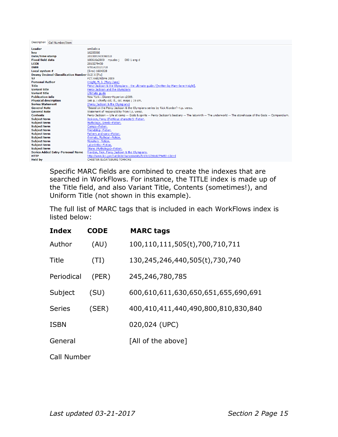| Description Call Number/Item                            |                                                                                                                                                             |
|---------------------------------------------------------|-------------------------------------------------------------------------------------------------------------------------------------------------------------|
| Leader                                                  | am5a0c a                                                                                                                                                    |
| key                                                     | 16285808                                                                                                                                                    |
| Date/time stamp                                         | 20100819153600.0                                                                                                                                            |
| <b>Fixed field data</b>                                 | 100616s2009 nyuaboj<br>000 1 eng d                                                                                                                          |
| <b>LCCN</b>                                             | 2010279450                                                                                                                                                  |
| <b>ISBN</b>                                             | 9781423121718                                                                                                                                               |
| Local system #                                          | (Sirsi) 1684328                                                                                                                                             |
| <b>Dewey Decimal Classification Number 813/.6 [Fic]</b> |                                                                                                                                                             |
| 97                                                      | PZ7.R4829 bPe 2009                                                                                                                                          |
| <b>Personal Author</b>                                  | Knight, M. J. (Mary-Jane)                                                                                                                                   |
| <b>Title</b>                                            | Percy Jackson & the Olympians : the ultimate guide / [written by Mary-Jane Knight].                                                                         |
| <b>Variant title</b>                                    | Percy Jackson and the Olympians                                                                                                                             |
| <b>Variant title</b>                                    | Ultimate quide                                                                                                                                              |
| <b>Publication info</b>                                 | New York: Disney-Hyperion c2009.                                                                                                                            |
| <b>Physical description</b>                             | 146 p. : chiefly col. ill., col. maps ; 19 cm.                                                                                                              |
| <b>Series Statement</b>                                 | (Percy Jackson & the Olympians)                                                                                                                             |
| <b>General Note</b>                                     | "Based on the Percy Jackson & the Olympians series by Rick Riordan"--t.p. verso.                                                                            |
| <b>General Note</b>                                     | Statement of responsibility from t.p. verso.                                                                                                                |
| <b>Contents</b>                                         | Percy Jackson -- Life at camp -- Gods & spirits -- Percy Jackson's bestiary -- The labyrinth -- The underworld -- The storehouse of the Gods -- Compendium. |
| <b>Subject term</b>                                     | Jackson, Percy (Fictitious character)--Fiction.                                                                                                             |
| <b>Subject term</b>                                     | Mythology, Greek--Fiction.                                                                                                                                  |
| <b>Subject term</b>                                     | Camps--Fiction.                                                                                                                                             |
| <b>Subject term</b>                                     | Friendship -- Fiction.                                                                                                                                      |
| <b>Subject term</b>                                     | Fathers and sons--Fiction.                                                                                                                                  |
| <b>Subject term</b>                                     | Animals, Mythical--Fiction.                                                                                                                                 |
| <b>Subject term</b>                                     | Monsters--Fiction.                                                                                                                                          |
| <b>Subject term</b>                                     | Labvrinths--Fiction.                                                                                                                                        |
| <b>Subject term</b>                                     | Titans (Mythology)--Fiction.                                                                                                                                |
| <b>Series Added Entry-Personal Name</b>                 | Riordan, Rick. Percy Jackson & the Olympians.                                                                                                               |
| <b>HTTP</b>                                             | http://www.loc.gov/catdir/enhancements/fy1010/2010279450-d.html                                                                                             |
| <b>Held by</b>                                          | CHESTER SLOATSBURG TOMKINS                                                                                                                                  |

Specific MARC fields are combined to create the indexes that are searched in WorkFlows. For instance, the TITLE index is made up of the Title field, and also Variant Title, Contents (sometimes!), and Uniform Title (not shown in this example).

The full list of MARC tags that is included in each WorkFlows index is listed below:

| <b>Index</b>  | <b>CODE</b> | <b>MARC tags</b>                    |  |  |  |
|---------------|-------------|-------------------------------------|--|--|--|
| Author        | (AU)        | 100,110,111,505(t),700,710,711      |  |  |  |
| Title         | (TI)        | 130,245,246,440,505(t),730,740      |  |  |  |
| Periodical    | (PER)       | 245, 246, 780, 785                  |  |  |  |
| Subject       | (SU)        | 600,610,611,630,650,651,655,690,691 |  |  |  |
| <b>Series</b> | (SER)       | 400,410,411,440,490,800,810,830,840 |  |  |  |
| <b>ISBN</b>   |             | 020,024 (UPC)                       |  |  |  |
| General       |             | [All of the above]                  |  |  |  |
| Call Number   |             |                                     |  |  |  |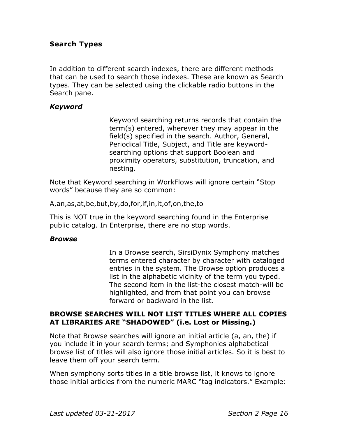#### **Search Types**

In addition to different search indexes, there are different methods that can be used to search those indexes. These are known as Search types. They can be selected using the clickable radio buttons in the Search pane.

#### *Keyword*

Keyword searching returns records that contain the term(s) entered, wherever they may appear in the field(s) specified in the search. Author, General, Periodical Title, Subject, and Title are keywordsearching options that support Boolean and proximity operators, substitution, truncation, and nesting.

Note that Keyword searching in WorkFlows will ignore certain "Stop words" because they are so common:

A,an,as,at,be,but,by,do,for,if,in,it,of,on,the,to

This is NOT true in the keyword searching found in the Enterprise public catalog. In Enterprise, there are no stop words.

#### *Browse*

In a Browse search, SirsiDynix Symphony matches terms entered character by character with cataloged entries in the system. The Browse option produces a list in the alphabetic vicinity of the term you typed. The second item in the list-the closest match-will be highlighted, and from that point you can browse forward or backward in the list.

#### **BROWSE SEARCHES WILL NOT LIST TITLES WHERE ALL COPIES AT LIBRARIES ARE "SHADOWED" (i.e. Lost or Missing.)**

Note that Browse searches will ignore an initial article (a, an, the) if you include it in your search terms; and Symphonies alphabetical browse list of titles will also ignore those initial articles. So it is best to leave them off your search term.

When symphony sorts titles in a title browse list, it knows to ignore those initial articles from the numeric MARC "tag indicators." Example: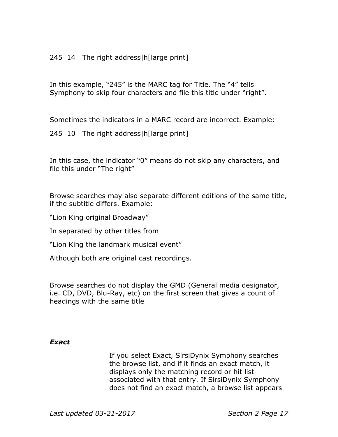#### 245 14 The right address|h[large print]

In this example, "245" is the MARC tag for Title. The "4" tells Symphony to skip four characters and file this title under "right".

Sometimes the indicators in a MARC record are incorrect. Example:

245 10 The right address|h[large print]

In this case, the indicator "0" means do not skip any characters, and file this under "The right"

Browse searches may also separate different editions of the same title, if the subtitle differs. Example:

"Lion King original Broadway"

In separated by other titles from

"Lion King the landmark musical event"

Although both are original cast recordings.

Browse searches do not display the GMD (General media designator, i.e. CD, DVD, Blu-Ray, etc) on the first screen that gives a count of headings with the same title

#### *Exact*

If you select Exact, SirsiDynix Symphony searches the browse list, and if it finds an exact match, it displays only the matching record or hit list associated with that entry. If SirsiDynix Symphony does not find an exact match, a browse list appears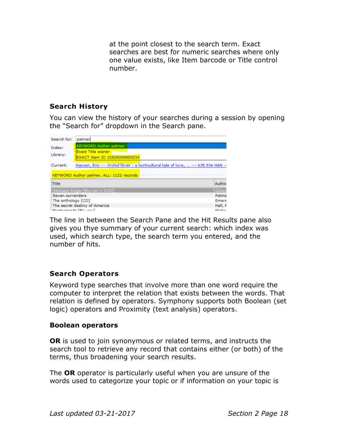at the point closest to the search term. Exact searches are best for numeric searches where only one value exists, like Item barcode or Title control number.

# **Search History**

You can view the history of your searches during a session by opening the "Search for" dropdown in the Search pane.



The line in between the Search Pane and the Hit Results pane also gives you thye summary of your current search: which index was used, which search type, the search term you entered, and the number of hits.

#### **Search Operators**

Keyword type searches that involve more than one word require the computer to interpret the relation that exists between the words. That relation is defined by operators. Symphony supports both Boolean (set logic) operators and Proximity (text analysis) operators.

#### **Boolean operators**

**OR** is used to join synonymous or related terms, and instructs the search tool to retrieve any record that contains either (or both) of the terms, thus broadening your search results.

The **OR** operator is particularly useful when you are unsure of the words used to categorize your topic or if information on your topic is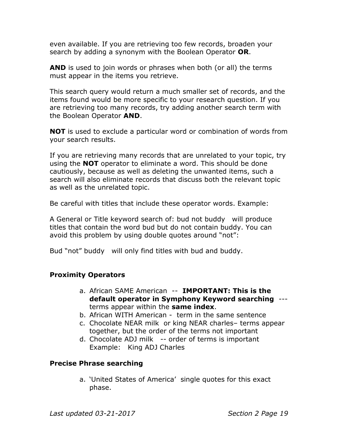even available. If you are retrieving too few records, broaden your search by adding a synonym with the Boolean Operator **OR**.

**AND** is used to join words or phrases when both (or all) the terms must appear in the items you retrieve.

This search query would return a much smaller set of records, and the items found would be more specific to your research question. If you are retrieving too many records, try adding another search term with the Boolean Operator **AND**.

**NOT** is used to exclude a particular word or combination of words from your search results.

If you are retrieving many records that are unrelated to your topic, try using the **NOT** operator to eliminate a word. This should be done cautiously, because as well as deleting the unwanted items, such a search will also eliminate records that discuss both the relevant topic as well as the unrelated topic.

Be careful with titles that include these operator words. Example:

A General or Title keyword search of: bud not buddy will produce titles that contain the word bud but do not contain buddy. You can avoid this problem by using double quotes around "not":

Bud "not" buddy will only find titles with bud and buddy.

#### **Proximity Operators**

- a. African SAME American -- **IMPORTANT: This is the default operator in Symphony Keyword searching** -- terms appear within the **same index**.
- b. African WITH American term in the same sentence
- c. Chocolate NEAR milk or king NEAR charles– terms appear together, but the order of the terms not important
- d. Chocolate ADJ milk -- order of terms is important Example: King ADJ Charles

#### **Precise Phrase searching**

a. 'United States of America' single quotes for this exact phase.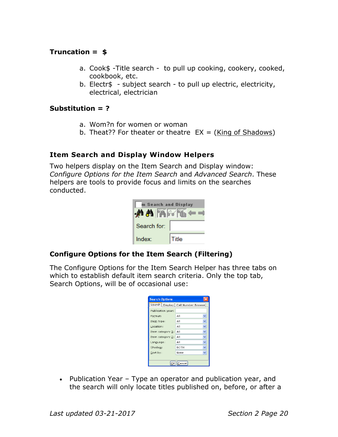# **Truncation = \$**

- a. Cook\$ -Title search to pull up cooking, cookery, cooked, cookbook, etc.
- b. Electr\$ subject search to pull up electric, electricity, electrical, electrician

# **Substitution = ?**

- a. Wom?n for women or woman
- b. Theat?? For theater or theatre  $EX = (King of Shadows)$

#### **Item Search and Display Window Helpers**

Two helpers display on the Item Search and Display window: *Configure Options for the Item Search* and *Advanced Search*. These helpers are tools to provide focus and limits on the searches conducted.

| m Search and Display |       |  |  |
|----------------------|-------|--|--|
| <b>♪ A A</b> A F     |       |  |  |
| Search for:          |       |  |  |
| Index <sup>-</sup>   | Title |  |  |

# **Configure Options for the Item Search (Filtering)**

The Configure Options for the Item Search Helper has three tabs on which to establish default item search criteria. Only the top tab, Search Options, will be of occasional use:

| <b>Search Options</b> |                    |  |
|-----------------------|--------------------|--|
| Search   Display      | Call Number Browse |  |
| Publication year:     |                    |  |
| Format:               | All                |  |
| Item type:            | All                |  |
| Location:             | All                |  |
| Item category $1$ :   | All                |  |
| Item category 2:      | All                |  |
| Language:             | All                |  |
| Shadow:               | <b>BOTH</b>        |  |
| Sort by:              | None               |  |
|                       |                    |  |
| Cancel                |                    |  |

• Publication Year – Type an operator and publication year, and the search will only locate titles published on, before, or after a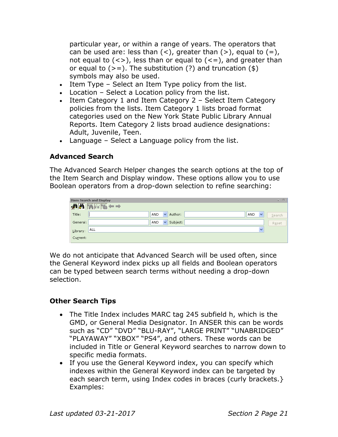particular year, or within a range of years. The operators that can be used are: less than  $($  <  $)$ , greater than  $($  >  $)$ , equal to  $($  =  $)$ , not equal to  $(\langle \rangle)$ , less than or equal to  $(\langle = \rangle)$ , and greater than or equal to  $(>=)$ . The substitution (?) and truncation (\$) symbols may also be used.

- Item Type Select an Item Type policy from the list.
- Location Select a Location policy from the list.
- Item Category 1 and Item Category 2 Select Item Category policies from the lists. Item Category 1 lists broad format categories used on the New York State Public Library Annual Reports. Item Category 2 lists broad audience designations: Adult, Juvenile, Teen.
- Language Select a Language policy from the list.

#### **Advanced Search**

The Advanced Search Helper changes the search options at the top of the Item Search and Display window. These options allow you to use Boolean operators from a drop-down selection to refine searching:

| <b>Item Search and Display</b>                                                                                                                                                                                                                                                                                                                                                                                |                                                              | $\Box$<br>÷. |
|---------------------------------------------------------------------------------------------------------------------------------------------------------------------------------------------------------------------------------------------------------------------------------------------------------------------------------------------------------------------------------------------------------------|--------------------------------------------------------------|--------------|
| $\frac{1}{2} \mathbf{A} \mathbf{A} \mathbf{A} \mathbf{A} + \frac{1}{2} \mathbf{A} \mathbf{A} + \frac{1}{2} \mathbf{A} \mathbf{A} + \frac{1}{2} \mathbf{A} \mathbf{A} + \frac{1}{2} \mathbf{A} \mathbf{A} + \frac{1}{2} \mathbf{A} \mathbf{A} + \frac{1}{2} \mathbf{A} \mathbf{A} + \frac{1}{2} \mathbf{A} \mathbf{A} + \frac{1}{2} \mathbf{A} \mathbf{A} + \frac{1}{2} \mathbf{A} \mathbf{A} + \frac{1}{2} \$ |                                                              |              |
| Title:                                                                                                                                                                                                                                                                                                                                                                                                        | Author:<br>AND<br><b>AND</b><br>$\checkmark$<br>$\checkmark$ | Search       |
| General:                                                                                                                                                                                                                                                                                                                                                                                                      | Subject:<br>AND<br>$\checkmark$                              | Reset        |
| <b>ALL</b><br>Library:                                                                                                                                                                                                                                                                                                                                                                                        | $\checkmark$                                                 |              |
| Current:                                                                                                                                                                                                                                                                                                                                                                                                      |                                                              |              |

We do not anticipate that Advanced Search will be used often, since the General Keyword index picks up all fields and Boolean operators can be typed between search terms without needing a drop-down selection.

#### **Other Search Tips**

- The Title Index includes MARC tag 245 subfield h, which is the GMD, or General Media Designator. In ANSER this can be words such as "CD" "DVD" "BLU-RAY", "LARGE PRINT" "UNABRIDGED" "PLAYAWAY" "XBOX" "PS4", and others. These words can be included in Title or General Keyword searches to narrow down to specific media formats.
- If you use the General Keyword index, you can specify which indexes within the General Keyword index can be targeted by each search term, using Index codes in braces (curly brackets.} Examples: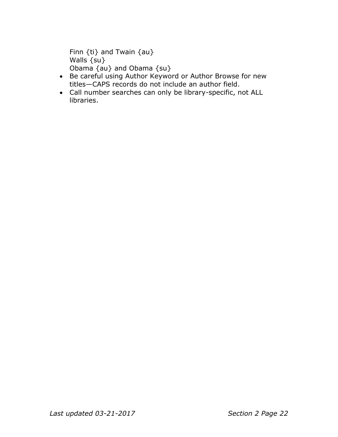```
Finn {ti} and Twain {au}
Walls {su}
Obama {au} and Obama {su}
```
- Be careful using Author Keyword or Author Browse for new titles—CAPS records do not include an author field.
- Call number searches can only be library-specific, not ALL libraries.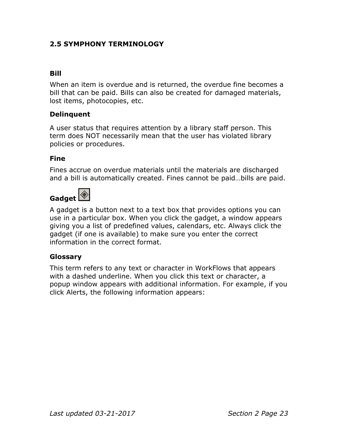# **2.5 SYMPHONY TERMINOLOGY**

# **Bill**

When an item is overdue and is returned, the overdue fine becomes a bill that can be paid. Bills can also be created for damaged materials, lost items, photocopies, etc.

#### **Delinquent**

A user status that requires attention by a library staff person. This term does NOT necessarily mean that the user has violated library policies or procedures.

#### **Fine**

Fines accrue on overdue materials until the materials are discharged and a bill is automatically created. Fines cannot be paid…bills are paid.

# **Gadget**

A gadget is a button next to a text box that provides options you can use in a particular box. When you click the gadget, a window appears

## giving you a list of predefined values, calendars, etc. Always click the gadget (if one is available) to make sure you enter the correct information in the correct format.

#### **Glossary**

This term refers to any text or character in WorkFlows that appears with a dashed underline. When you click this text or character, a popup window appears with additional information. For example, if you click Alerts, the following information appears: